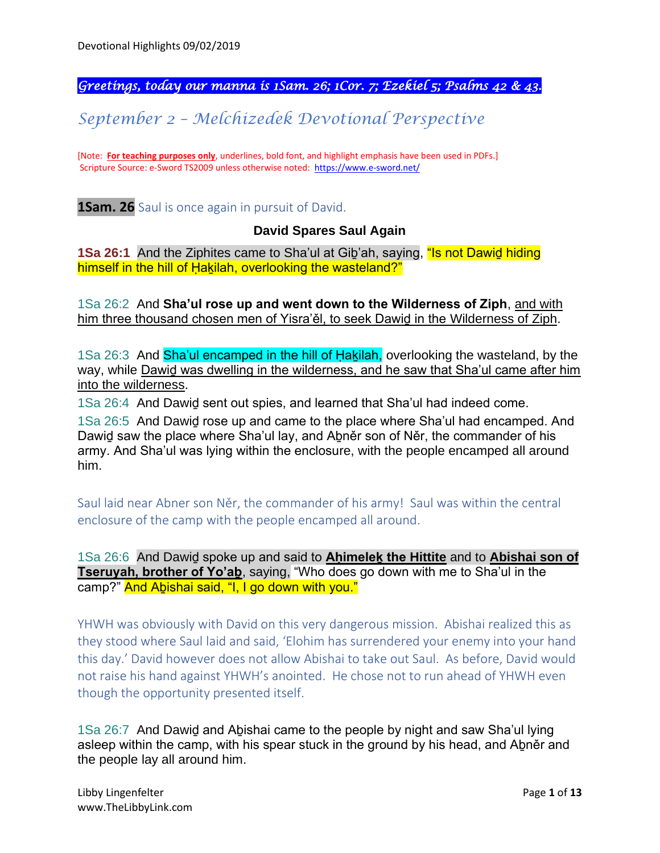*Greetings, today our manna is 1Sam. 26; 1Cor. 7; Ezekiel 5; Psalms 42 & 43.* 

*September 2 – Melchizedek Devotional Perspective*

[Note: **For teaching purposes only**, underlines, bold font, and highlight emphasis have been used in PDFs.] Scripture Source: e-Sword TS2009 unless otherwise noted: <https://www.e-sword.net/>

**1Sam. 26** Saul is once again in pursuit of David.

# **David Spares Saul Again**

**1Sa 26:1** And the Ziphites came to Sha'ul at Giḇ'ah, saying, "Is not Dawiḏ hiding himself in the hill of Hakilah, overlooking the wasteland?"

1Sa 26:2 And **Sha'ul rose up and went down to the Wilderness of Ziph**, and with him three thousand chosen men of Yisra'ěl, to seek Dawiḏ in the Wilderness of Ziph.

1Sa 26:3 And Sha'ul encamped in the hill of Hakilah, overlooking the wasteland, by the way, while Dawiḏ was dwelling in the wilderness, and he saw that Sha'ul came after him into the wilderness.

1Sa 26:4 And Dawiḏ sent out spies, and learned that Sha'ul had indeed come.

1Sa 26:5 And Dawiḏ rose up and came to the place where Sha'ul had encamped. And Dawiḏ saw the place where Sha'ul lay, and Aḇněr son of Něr, the commander of his army. And Sha'ul was lying within the enclosure, with the people encamped all around him.

Saul laid near Abner son Něr, the commander of his army! Saul was within the central enclosure of the camp with the people encamped all around.

1Sa 26:6 And Dawiḏ spoke up and said to **Aḥimeleḵ the Hittite** and to **Abishai son of Tseruyah, brother of Yo'aḇ**, saying, "Who does go down with me to Sha'ul in the camp?" And Aḇishai said, "I, I go down with you."

YHWH was obviously with David on this very dangerous mission. Abishai realized this as they stood where Saul laid and said, 'Elohim has surrendered your enemy into your hand this day.' David however does not allow Abishai to take out Saul. As before, David would not raise his hand against YHWH's anointed. He chose not to run ahead of YHWH even though the opportunity presented itself.

1Sa 26:7 And Dawiḏ and Aḇishai came to the people by night and saw Sha'ul lying asleep within the camp, with his spear stuck in the ground by his head, and Aḇněr and the people lay all around him.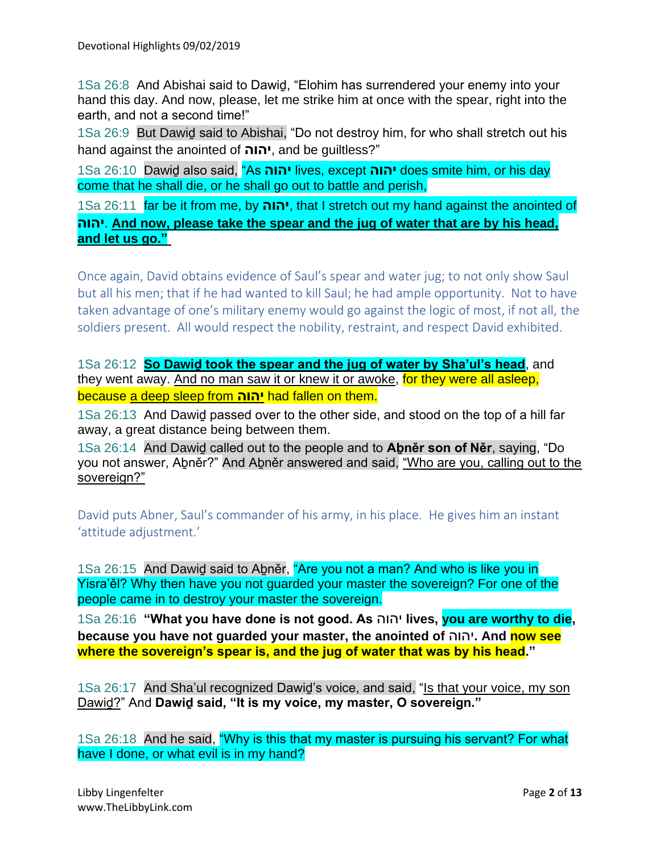1Sa 26:8 And Abishai said to Dawiḏ, "Elohim has surrendered your enemy into your hand this day. And now, please, let me strike him at once with the spear, right into the earth, and not a second time!"

1Sa 26:9 But Dawiḏ said to Abishai, "Do not destroy him, for who shall stretch out his hand against the anointed of **יהוה**, and be guiltless?"

1Sa 26:10 Dawiḏ also said, "As **יהוה** lives, except **יהוה** does smite him, or his day come that he shall die, or he shall go out to battle and perish,

1Sa 26:11 far be it from me, by **יהוה**, that I stretch out my hand against the anointed of **יהוה**. **And now, please take the spear and the jug of water that are by his head, and let us go."**

Once again, David obtains evidence of Saul's spear and water jug; to not only show Saul but all his men; that if he had wanted to kill Saul; he had ample opportunity. Not to have taken advantage of one's military enemy would go against the logic of most, if not all, the soldiers present. All would respect the nobility, restraint, and respect David exhibited.

1Sa 26:12 **So Dawiḏ took the spear and the jug of water by Sha'ul's head**, and they went away. And no man saw it or knew it or awoke, for they were all asleep, because a deep sleep from **יהוה** had fallen on them.

1Sa 26:13 And Dawiḏ passed over to the other side, and stood on the top of a hill far away, a great distance being between them.

1Sa 26:14 And Dawiḏ called out to the people and to **Aḇněr son of Něr**, saying, "Do you not answer, Abněr?" And Abněr answered and said, "Who are you, calling out to the sovereign?"

David puts Abner, Saul's commander of his army, in his place. He gives him an instant 'attitude adjustment.'

1Sa 26:15 And Dawid said to Abněr, "Are you not a man? And who is like you in Yisra'ěl? Why then have you not guarded your master the sovereign? For one of the people came in to destroy your master the sovereign.

1Sa 26:16 **"What you have done is not good. As** יהוה **lives, you are worthy to die, because you have not guarded your master, the anointed of** יהוה**. And now see where the sovereign's spear is, and the jug of water that was by his head."**

1Sa 26:17 And Sha'ul recognized Dawiḏ's voice, and said, "Is that your voice, my son Dawiḏ?" And **Dawiḏ said, "It is my voice, my master, O sovereign."**

1Sa 26:18 And he said, "Why is this that my master is pursuing his servant? For what have I done, or what evil is in my hand?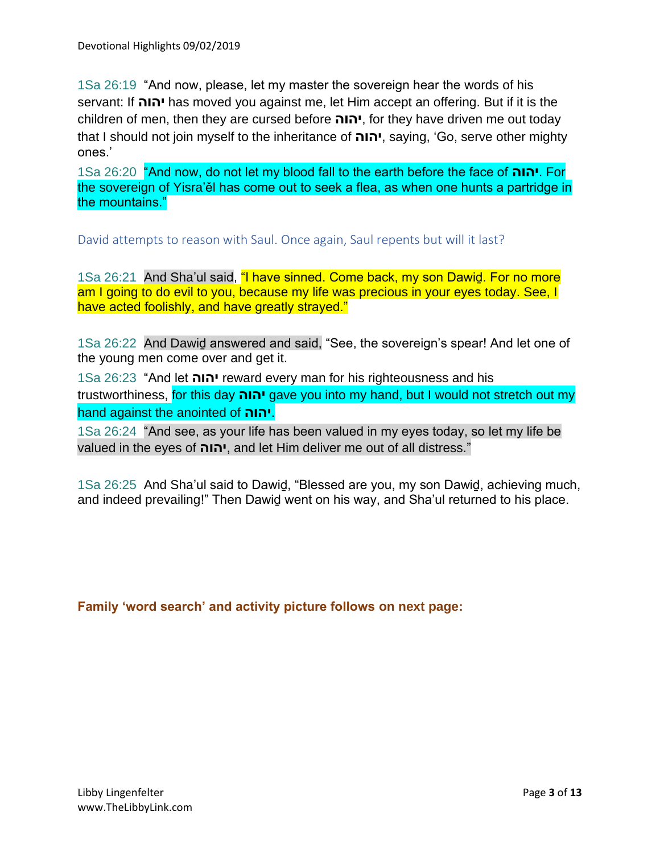1Sa 26:19 "And now, please, let my master the sovereign hear the words of his servant: If **יהוה** has moved you against me, let Him accept an offering. But if it is the children of men, then they are cursed before **יהוה**, for they have driven me out today that I should not join myself to the inheritance of **יהוה**, saying, 'Go, serve other mighty ones.'

1Sa 26:20 "And now, do not let my blood fall to the earth before the face of **יהוה**. For the sovereign of Yisra'ěl has come out to seek a flea, as when one hunts a partridge in the mountains."

David attempts to reason with Saul. Once again, Saul repents but will it last?

1Sa 26:21 And Sha'ul said, "I have sinned. Come back, my son Dawiḏ. For no more am I going to do evil to you, because my life was precious in your eyes today. See, I have acted foolishly, and have greatly strayed."

1Sa 26:22 And Dawiḏ answered and said, "See, the sovereign's spear! And let one of the young men come over and get it.

1Sa 26:23 "And let **יהוה** reward every man for his righteousness and his trustworthiness, for this day **יהוה** gave you into my hand, but I would not stretch out my hand against the anointed of **יהוה**.

1Sa 26:24 "And see, as your life has been valued in my eyes today, so let my life be valued in the eyes of **יהוה**, and let Him deliver me out of all distress."

1Sa 26:25 And Sha'ul said to Dawiḏ, "Blessed are you, my son Dawiḏ, achieving much, and indeed prevailing!" Then Dawiḏ went on his way, and Sha'ul returned to his place.

**Family 'word search' and activity picture follows on next page:**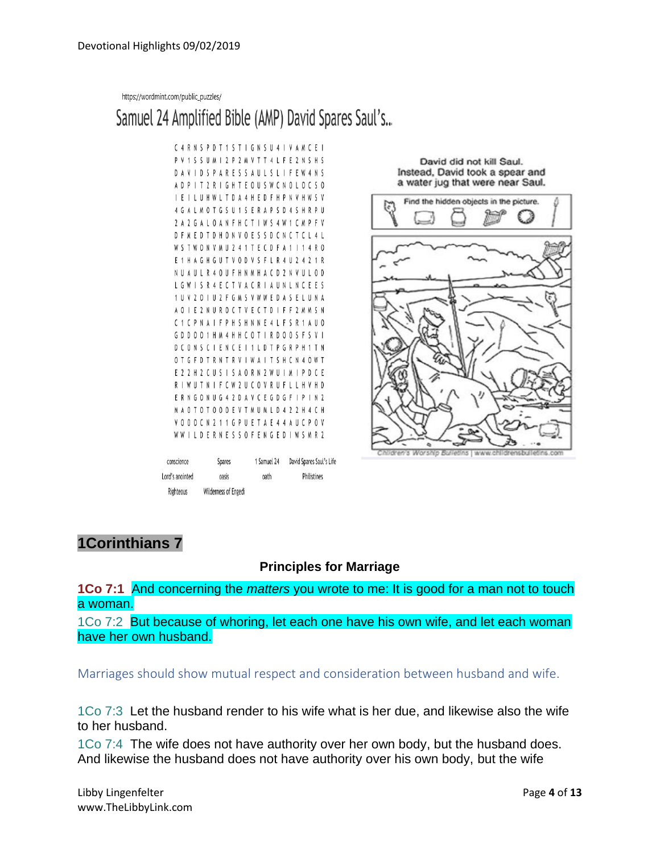https://wordmint.com/public\_puzzles/

# Samuel 24 Amplified Bible (AMP) David Spares Saul's...

| С               |     | R | Ν | S      | p | D                       |   |       | S | Τ                       | I           | G | N | S    | U | 4 |                         | V           | A | M |                         | Ε | ı                       |
|-----------------|-----|---|---|--------|---|-------------------------|---|-------|---|-------------------------|-------------|---|---|------|---|---|-------------------------|-------------|---|---|-------------------------|---|-------------------------|
| P               | V   |   | S | S      | U | Μ                       |   | 2     | P | 2                       | M           | V | T | T    | 4 | L | F                       | E           | 2 | N | S                       | Н | S                       |
| D               | A   | V | I | D      | S | P                       | A | R     | E | S                       | S           | A | U | L    | S | L | I                       | F           | E | W | 4                       | N | S                       |
| A               | D   | p |   | Т      | 2 | R                       |   | G     | H | T                       | E           | 0 | U | S    | W | C | Ν                       | 0           | l | 0 | С                       | S | 0                       |
| ı               | E   |   |   | U      | Н | W                       | L | T     | D | A                       | 4           | H | E | D    | F | H | P                       | N           | V | Н | W                       | S | V                       |
| 4               | G   | A |   | М      | 0 | Τ                       | G | S     | U | 1                       | S           | E | R | A    | p | S | D                       | 4           | S | H | R                       | p | U                       |
| 2               |     | 2 | G |        |   | 0                       | Δ | N     | F | H                       | C           | Τ | I | W    | S | 4 | W                       | 1           | ſ | М | p                       | F | V                       |
| D               | F   | M | E | D      | Τ | D                       | Н | 0     | N | V                       | 0           | E | S | S    | D | C | N                       | C           | T | C | L                       | 4 | L                       |
| W               | S   | T | W | 0      | N | V                       | М | U     | 2 | 4                       | 1           | T | E | C    | D | F | A                       | 1           |   |   | 4                       | R | 0                       |
| E               | 1   | H | A | G      | Н | G                       | U | T     | V | 0                       | D           | V | S | F    | L | R | 4                       | U           | 2 | 4 | $\overline{\mathbf{r}}$ |   | R                       |
| Ν               | U   | A | U | ι      | R | 4                       | 0 | U     | F | H                       | N           | M | H | Α    | C | D | 2                       | N           | V | U |                         | 0 | D                       |
| L               | G   | W |   | S      | R | 4                       | E | C     | T | V                       | A           | C | R | I    | A | U | N                       | L           | Ν | C | E                       | E | S                       |
| 1               | U   | V | 2 | 0      |   | U                       | 2 | F     | G | M                       | S           | V | W | W    | Ε | D | A                       | S           | E | L | U                       | N | A                       |
| A               | 0   |   | E | 2      | Ν | U                       | R | 0     | C | Т                       | V           | E | С | T    | D | I | F                       | F           | 2 | M | W                       | S | N                       |
| C               | 1   |   | р | N      | A |                         | F | P     | H | S                       | H           | N | N | E    | 4 | L | F                       | S           | R | 1 | A                       | U | 0                       |
| G               | D   | D | 0 | 0      | 1 | H                       | М | 4     | H | H                       | Ć           | 0 | T | ı    | R | D | 0                       | 0           | S | F | S                       | V |                         |
| D               |     | 0 | Ν | S      |   |                         | E | Ν     | C | E                       | I           | 1 |   | D    | T | p | G                       | R           | P | H | 1                       | T | N                       |
| 0               |     | G |   | D      |   | R                       | N | T     | R | V                       | I           | W | A | I    | Т | S | H                       | C           | N | 4 | 0                       | W | T                       |
| E               | 7   | 7 | Н |        |   | U                       | S |       | S | A                       | 0           | R | N | 2    | W | U | I                       | M           |   | p | D                       |   | Ε                       |
| R               |     | W | U | T      | Ν |                         | F | C     | W | $\overline{\mathbf{r}}$ | U           | C | 0 | V    | R | U | F                       | I           |   | H | V                       | Н | D                       |
| E               | R   | Ν | G | 0      | N | U                       | G | 4     | 2 | D                       | A           | V | С | Ε    | G | D | G                       | F           | I | p | I                       | N | 2                       |
| M               | A   | 0 | T | 0      |   | 0                       | 0 | 0     | E | V                       | T           | M | U | М    | L | D | 4                       | 2           | 2 | H | 4                       | C | Н                       |
| V               | 0   | 0 | 0 | C      | N | $\overline{\mathbf{r}}$ | 1 | 1     | G | P                       | U           | E | T | A    | E | 4 | 4                       | A           | U | C | P                       | 0 | V                       |
|                 | W W | I | L | D      | Ε | R                       | N | E     | S | S                       | 0           | F |   | ΕN   | G | E | D                       | l           | W | S | M                       | R | $\overline{\mathbf{r}}$ |
| conscience      |     |   |   | Spares |   |                         |   |       |   |                         | 1 Samuel 24 |   |   |      |   |   | David Spares Saul's Lif |             |   |   |                         |   |                         |
| Lord's anointed |     |   |   |        |   |                         |   | oasis |   |                         |             |   |   | oath |   |   |                         | Philistines |   |   |                         |   |                         |

David did not kill Saul. Instead, David took a spear and a water jug that were near Saul.



# **1Corinthians 7**

Righteous

Wilderness of Engedi

#### **Principles for Marriage**

**1Co 7:1** And concerning the *matters* you wrote to me: It is good for a man not to touch a woman.

1Co 7:2 But because of whoring, let each one have his own wife, and let each woman have her own husband.

Marriages should show mutual respect and consideration between husband and wife.

1Co 7:3 Let the husband render to his wife what is her due, and likewise also the wife to her husband.

1Co 7:4 The wife does not have authority over her own body, but the husband does. And likewise the husband does not have authority over his own body, but the wife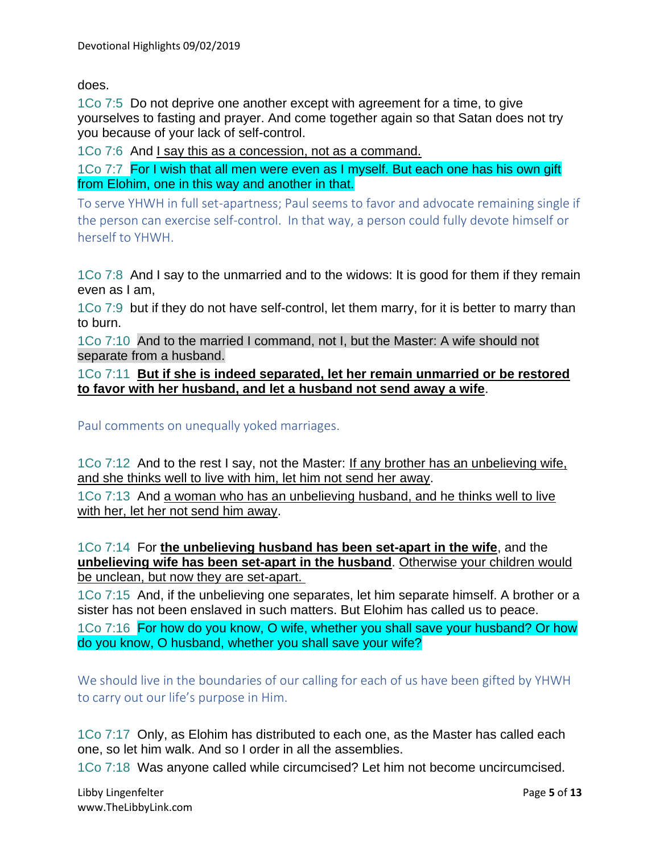does.

1Co 7:5 Do not deprive one another except with agreement for a time, to give yourselves to fasting and prayer. And come together again so that Satan does not try you because of your lack of self-control.

1Co 7:6 And I say this as a concession, not as a command.

1Co 7:7 For I wish that all men were even as I myself. But each one has his own gift from Elohim, one in this way and another in that.

To serve YHWH in full set-apartness; Paul seems to favor and advocate remaining single if the person can exercise self-control. In that way, a person could fully devote himself or herself to YHWH.

1Co 7:8 And I say to the unmarried and to the widows: It is good for them if they remain even as I am,

1Co 7:9 but if they do not have self-control, let them marry, for it is better to marry than to burn.

1Co 7:10 And to the married I command, not I, but the Master: A wife should not separate from a husband.

1Co 7:11 **But if she is indeed separated, let her remain unmarried or be restored to favor with her husband, and let a husband not send away a wife**.

Paul comments on unequally yoked marriages.

1Co 7:12 And to the rest I say, not the Master: If any brother has an unbelieving wife, and she thinks well to live with him, let him not send her away.

1Co 7:13 And a woman who has an unbelieving husband, and he thinks well to live with her, let her not send him away.

1Co 7:14 For **the unbelieving husband has been set-apart in the wife**, and the **unbelieving wife has been set-apart in the husband**. Otherwise your children would be unclean, but now they are set-apart.

1Co 7:15 And, if the unbelieving one separates, let him separate himself. A brother or a sister has not been enslaved in such matters. But Elohim has called us to peace.

1Co 7:16 For how do you know, O wife, whether you shall save your husband? Or how do you know, O husband, whether you shall save your wife?

We should live in the boundaries of our calling for each of us have been gifted by YHWH to carry out our life's purpose in Him.

1Co 7:17 Only, as Elohim has distributed to each one, as the Master has called each one, so let him walk. And so I order in all the assemblies.

1Co 7:18 Was anyone called while circumcised? Let him not become uncircumcised.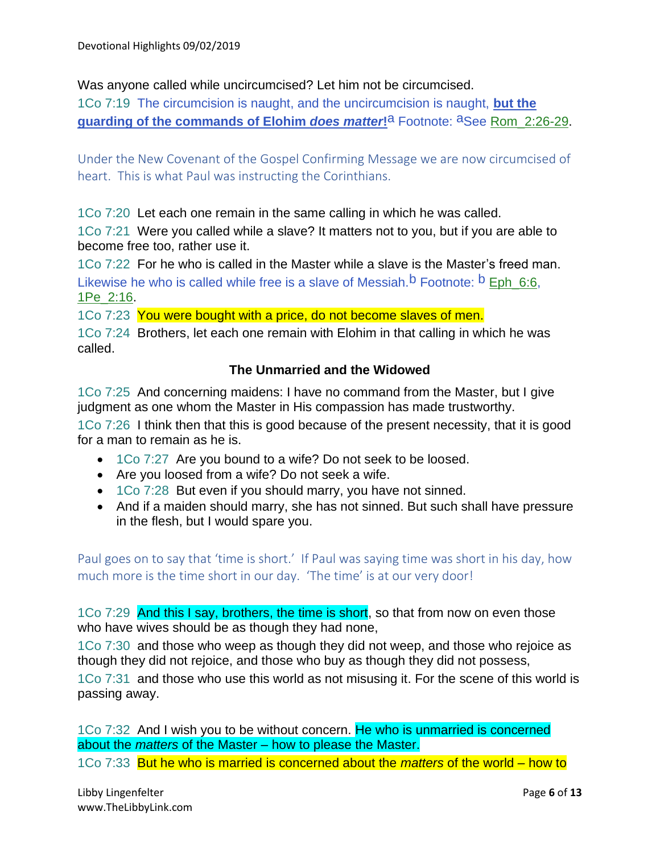Was anyone called while uncircumcised? Let him not be circumcised.

1Co 7:19 The circumcision is naught, and the uncircumcision is naught, **but the guarding of the commands of Elohim** *does matter***!**a Footnote: aSee Rom\_2:26-29.

Under the New Covenant of the Gospel Confirming Message we are now circumcised of heart. This is what Paul was instructing the Corinthians.

1Co 7:20 Let each one remain in the same calling in which he was called.

1Co 7:21 Were you called while a slave? It matters not to you, but if you are able to become free too, rather use it.

1Co 7:22 For he who is called in the Master while a slave is the Master's freed man. Likewise he who is called while free is a slave of Messiah.<sup>b</sup> Footnote: <sup>b</sup> Eph 6:6. 1Pe\_2:16.

1Co 7:23 You were bought with a price, do not become slaves of men.

1Co 7:24 Brothers, let each one remain with Elohim in that calling in which he was called.

### **The Unmarried and the Widowed**

1Co 7:25 And concerning maidens: I have no command from the Master, but I give judgment as one whom the Master in His compassion has made trustworthy.

1Co 7:26 I think then that this is good because of the present necessity, that it is good for a man to remain as he is.

- 1Co 7:27 Are you bound to a wife? Do not seek to be loosed.
- Are you loosed from a wife? Do not seek a wife.
- 1Co 7:28 But even if you should marry, you have not sinned.
- And if a maiden should marry, she has not sinned. But such shall have pressure in the flesh, but I would spare you.

Paul goes on to say that 'time is short.' If Paul was saying time was short in his day, how much more is the time short in our day. 'The time' is at our very door!

1Co 7:29 And this I say, brothers, the time is short, so that from now on even those who have wives should be as though they had none,

1Co 7:30 and those who weep as though they did not weep, and those who rejoice as though they did not rejoice, and those who buy as though they did not possess,

1Co 7:31 and those who use this world as not misusing it. For the scene of this world is passing away.

1Co 7:32 And I wish you to be without concern. He who is unmarried is concerned about the *matters* of the Master – how to please the Master.

1Co 7:33 But he who is married is concerned about the *matters* of the world – how to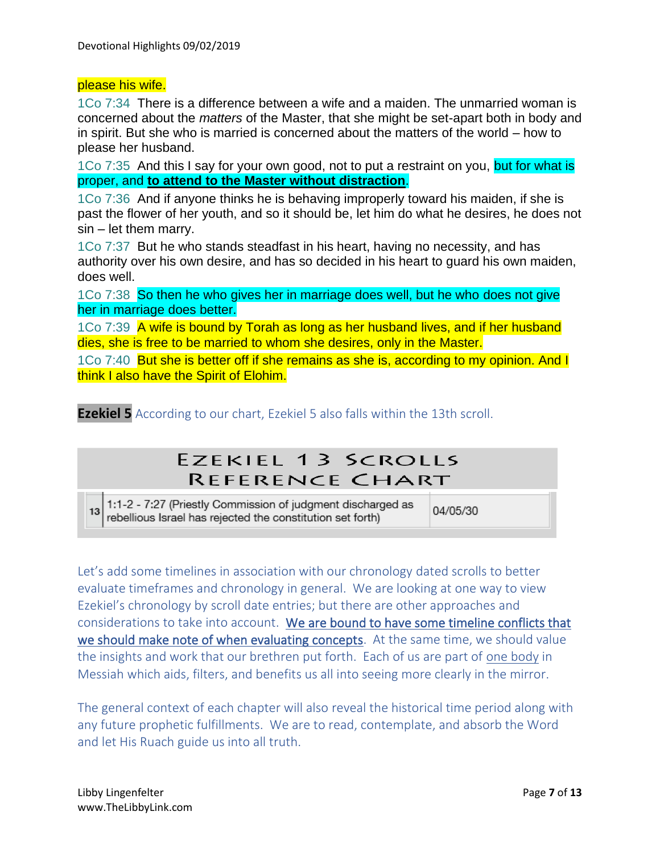### please his wife.

1Co 7:34 There is a difference between a wife and a maiden. The unmarried woman is concerned about the *matters* of the Master, that she might be set-apart both in body and in spirit. But she who is married is concerned about the matters of the world – how to please her husband.

1Co 7:35 And this I say for your own good, not to put a restraint on you, but for what is proper, and **to attend to the Master without distraction**.

1Co 7:36 And if anyone thinks he is behaving improperly toward his maiden, if she is past the flower of her youth, and so it should be, let him do what he desires, he does not  $sin - let$  them marry.

1Co 7:37 But he who stands steadfast in his heart, having no necessity, and has authority over his own desire, and has so decided in his heart to guard his own maiden, does well.

1Co 7:38 So then he who gives her in marriage does well, but he who does not give her in marriage does better.

1Co 7:39 A wife is bound by Torah as long as her husband lives, and if her husband dies, she is free to be married to whom she desires, only in the Master.

1Co 7:40 But she is better off if she remains as she is, according to my opinion. And I think I also have the Spirit of Elohim.

**Ezekiel 5** According to our chart, Ezekiel 5 also falls within the 13th scroll.

# **EZEKIEL 13 SCROLLS** REFERENCE CHART

1:1-2 - 7:27 (Priestly Commission of judgment discharged as 13 rebellious Israel has rejected the constitution set forth)

04/05/30

Let's add some timelines in association with our chronology dated scrolls to better evaluate timeframes and chronology in general. We are looking at one way to view Ezekiel's chronology by scroll date entries; but there are other approaches and considerations to take into account. We are bound to have some timeline conflicts that we should make note of when evaluating concepts. At the same time, we should value the insights and work that our brethren put forth. Each of us are part of one body in Messiah which aids, filters, and benefits us all into seeing more clearly in the mirror.

The general context of each chapter will also reveal the historical time period along with any future prophetic fulfillments. We are to read, contemplate, and absorb the Word and let His Ruach guide us into all truth.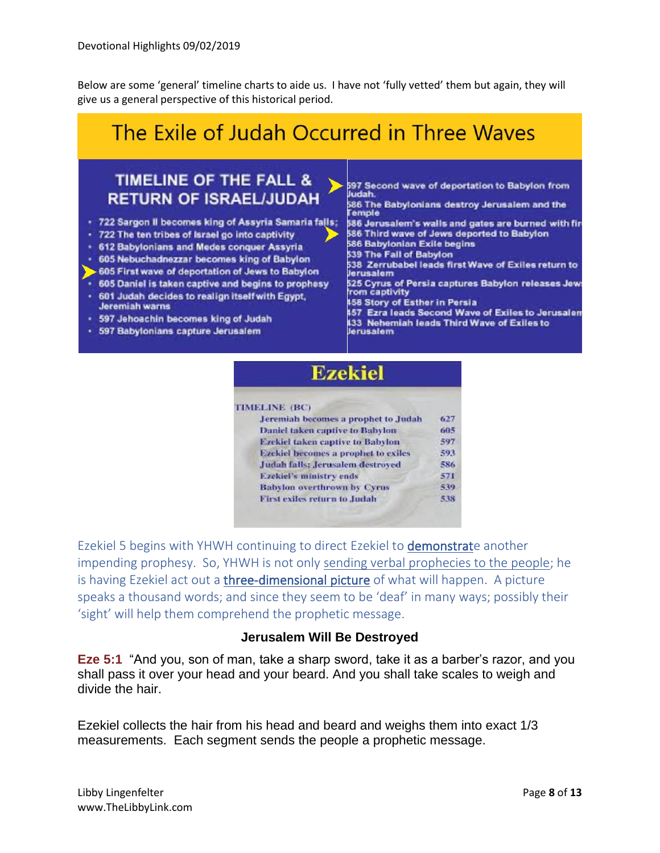Below are some 'general' timeline charts to aide us. I have not 'fully vetted' them but again, they will give us a general perspective of this historical period.

# The Exile of Judah Occurred in Three Waves

# **TIMELINE OF THE FALL & RETURN OF ISRAEL/JUDAH**

- . 722 Sargon II becomes king of Assyria Samaria falls:
- 722 The ten tribes of Israel go into captivity
- 612 Babylonians and Medes conquer Assyria
- 605 Nebuchadnezzar becomes king of Babylon
- 605 First wave of deportation of Jews to Babylon
- 605 Daniel is taken captive and begins to prophesy
- 601 Judah decides to realign itself with Egypt, Jeremiah warns
- · 597 Jehoachin becomes king of Judah
- · 597 Babylonians capture Jerusalem

597 Second wave of deportation to Babylon from ludah

.<br>586 The Babylonians destroy Jerusalem and the<br>Temple

586 Jerusalem's walls and gates are burned with fir-586 Third wave of Jews deported to Babylon 586 Babylonian Exile begins

- 539 The Fall of Babylon
- 538 Zerrubabel leads first Wave of Exiles return to Jerusalem
- 525 Cyrus of Persia captures Babylon releases Jews from captivity
- **458 Story of Esther in Persia**

457 Ezra leads Second Wave of Exiles to Jerusalem 133 Nehemiah leads Third Wave of Exiles to<br>Jerusalem

# **Ezekiel**

#### **TIMELINE (BC)**

| Jeremiah becomes a prophet to Judah     | 627 |
|-----------------------------------------|-----|
| <b>Daniel taken captive to Babylon</b>  | 605 |
| <b>Ezekiel taken captive to Babylon</b> | 597 |
| Ezekiel becomes a prophet to exiles     | 593 |
| Judah falls: Jerusalem destroyed        | 586 |
| <b>Ezekiel's ministry ends</b>          | 571 |
| <b>Babylon overthrown by Cyrus</b>      | 539 |
| First exiles return to Judah            | 538 |
|                                         |     |

Ezekiel 5 begins with YHWH continuing to direct Ezekiel to demonstrate another impending prophesy. So, YHWH is not only sending verbal prophecies to the people; he is having Ezekiel act out a *three-dimensional picture* of what will happen. A picture speaks a thousand words; and since they seem to be 'deaf' in many ways; possibly their 'sight' will help them comprehend the prophetic message.

#### **Jerusalem Will Be Destroyed**

**Eze 5:1** "And you, son of man, take a sharp sword, take it as a barber's razor, and you shall pass it over your head and your beard. And you shall take scales to weigh and divide the hair.

Ezekiel collects the hair from his head and beard and weighs them into exact 1/3 measurements. Each segment sends the people a prophetic message.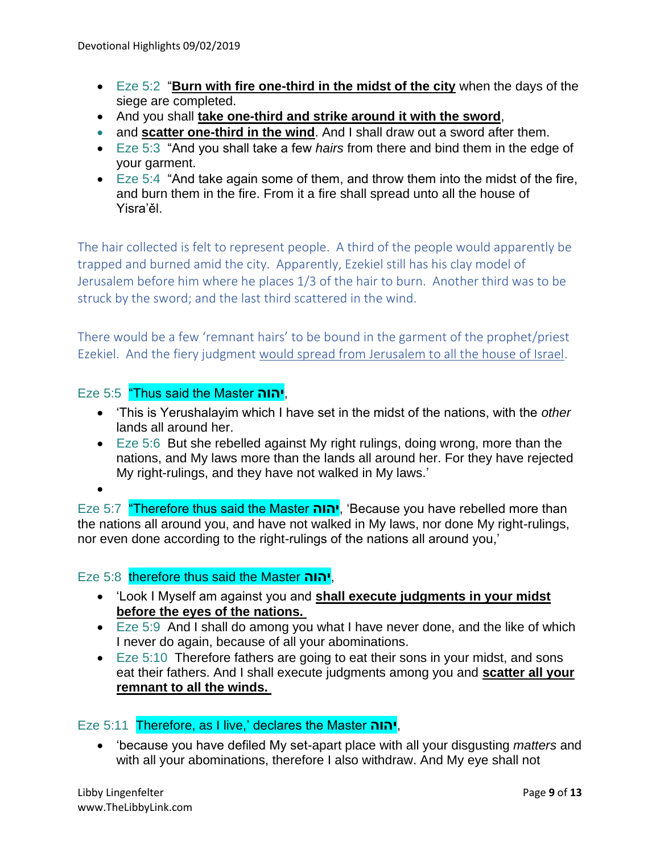- Eze 5:2 "**Burn with fire one-third in the midst of the city** when the days of the siege are completed.
- And you shall **take one-third and strike around it with the sword**,
- and **scatter one-third in the wind**. And I shall draw out a sword after them.
- Eze 5:3 "And you shall take a few *hairs* from there and bind them in the edge of your garment.
- Eze 5:4 "And take again some of them, and throw them into the midst of the fire, and burn them in the fire. From it a fire shall spread unto all the house of Yisra'ěl.

The hair collected is felt to represent people. A third of the people would apparently be trapped and burned amid the city. Apparently, Ezekiel still has his clay model of Jerusalem before him where he places 1/3 of the hair to burn. Another third was to be struck by the sword; and the last third scattered in the wind.

There would be a few 'remnant hairs' to be bound in the garment of the prophet/priest Ezekiel. And the fiery judgment would spread from Jerusalem to all the house of Israel.

# Eze 5:5 "Thus said the Master **יהוה**,

- 'This is Yerushalayim which I have set in the midst of the nations, with the *other* lands all around her.
- Eze 5:6 But she rebelled against My right rulings, doing wrong, more than the nations, and My laws more than the lands all around her. For they have rejected My right-rulings, and they have not walked in My laws.'

•

Eze 5:7 "Therefore thus said the Master **יהוה**,' Because you have rebelled more than the nations all around you, and have not walked in My laws, nor done My right-rulings, nor even done according to the right-rulings of the nations all around you,'

## Eze 5:8 therefore thus said the Master **יהוה**,

- 'Look I Myself am against you and **shall execute judgments in your midst before the eyes of the nations.**
- Eze 5:9 And I shall do among you what I have never done, and the like of which I never do again, because of all your abominations.
- Eze 5:10 Therefore fathers are going to eat their sons in your midst, and sons eat their fathers. And I shall execute judgments among you and **scatter all your remnant to all the winds.**

## Eze 5:11 Therefore, as I live,' declares the Master **יהוה**,

• 'because you have defiled My set-apart place with all your disgusting *matters* and with all your abominations, therefore I also withdraw. And My eye shall not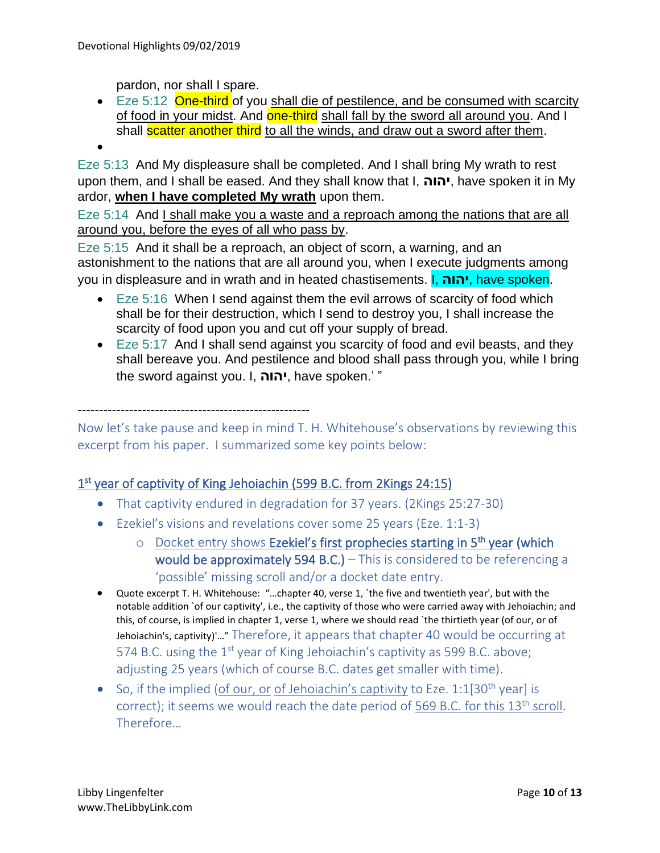pardon, nor shall I spare.

• Eze 5:12 One-third of you shall die of pestilence, and be consumed with scarcity of food in your midst. And **one-third** shall fall by the sword all around you. And I shall **scatter another third** to all the winds, and draw out a sword after them.

•

Eze 5:13 And My displeasure shall be completed. And I shall bring My wrath to rest upon them, and I shall be eased. And they shall know that I, **יהוה**, have spoken it in My ardor, **when I have completed My wrath** upon them.

Eze 5:14 And I shall make you a waste and a reproach among the nations that are all around you, before the eyes of all who pass by.

Eze 5:15 And it shall be a reproach, an object of scorn, a warning, and an astonishment to the nations that are all around you, when I execute judgments among you in displeasure and in wrath and in heated chastisements. I, **יהוה**, have spoken.

- Eze 5:16 When I send against them the evil arrows of scarcity of food which shall be for their destruction, which I send to destroy you, I shall increase the scarcity of food upon you and cut off your supply of bread.
- Eze 5:17 And I shall send against you scarcity of food and evil beasts, and they shall bereave you. And pestilence and blood shall pass through you, while I bring the sword against you. I, **יהוה**, have spoken.' "

#### ------------------------------------------------------

Now let's take pause and keep in mind T. H. Whitehouse's observations by reviewing this excerpt from his paper. I summarized some key points below:

# 1<sup>st</sup> year of captivity of King Jehoiachin (599 B.C. from 2Kings 24:15)

- That captivity endured in degradation for 37 years. (2Kings 25:27-30)
- Ezekiel's visions and revelations cover some 25 years (Eze. 1:1-3)
	- o Docket entry shows Ezekiel's first prophecies starting in 5<sup>th</sup> year (which would be approximately 594 B.C.) – This is considered to be referencing a 'possible' missing scroll and/or a docket date entry.
- Quote excerpt T. H. Whitehouse: "…chapter 40, verse 1, `the five and twentieth year', but with the notable addition `of our captivity', i.e., the captivity of those who were carried away with Jehoiachin; and this, of course, is implied in chapter 1, verse 1, where we should read `the thirtieth year (of our, or of Jehoiachin's, captivity)'…" Therefore, it appears that chapter 40 would be occurring at 574 B.C. using the  $1<sup>st</sup>$  year of King Jehoiachin's captivity as 599 B.C. above; adjusting 25 years (which of course B.C. dates get smaller with time).
- So, if the implied (of our, or of Jehoiachin's captivity to Eze.  $1:1[30^{th}$  year] is correct); it seems we would reach the date period of 569 B.C. for this 13<sup>th</sup> scroll. **Therefore**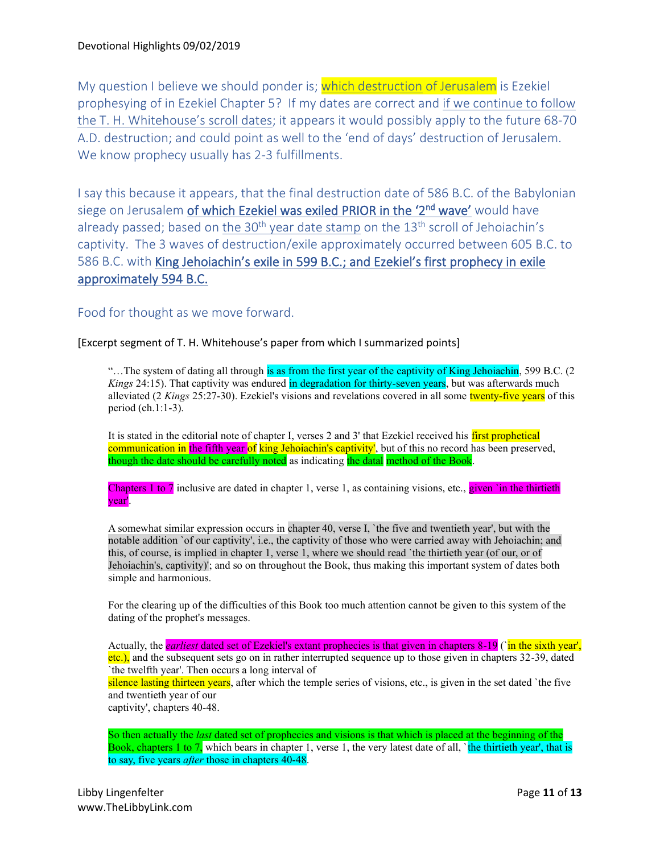My question I believe we should ponder is; which destruction of Jerusalem is Ezekiel prophesying of in Ezekiel Chapter 5? If my dates are correct and if we continue to follow the T. H. Whitehouse's scroll dates; it appears it would possibly apply to the future 68-70 A.D. destruction; and could point as well to the 'end of days' destruction of Jerusalem. We know prophecy usually has 2-3 fulfillments.

I say this because it appears, that the final destruction date of 586 B.C. of the Babylonian siege on Jerusalem *of which Ezekiel was exiled PRIOR in the '2<sup>nd</sup> wave'* would have already passed; based on the 30<sup>th</sup> year date stamp on the  $13<sup>th</sup>$  scroll of Jehoiachin's captivity. The 3 waves of destruction/exile approximately occurred between 605 B.C. to 586 B.C. with King Jehoiachin's exile in 599 B.C.; and Ezekiel's first prophecy in exile approximately 594 B.C.

Food for thought as we move forward.

[Excerpt segment of T. H. Whitehouse's paper from which I summarized points]

"…The system of dating all through is as from the first year of the captivity of King Jehoiachin, 599 B.C. (2 *Kings* 24:15). That captivity was endured in degradation for thirty-seven years, but was afterwards much alleviated (2 *Kings* 25:27-30). Ezekiel's visions and revelations covered in all some twenty-five years of this period (ch.1:1-3).

It is stated in the editorial note of chapter I, verses 2 and 3' that Ezekiel received his first prophetical communication in the fifth year of king Jehoiachin's captivity', but of this no record has been preserved, though the date should be carefully noted as indicating the datal method of the Book.

Chapters 1 to 7 inclusive are dated in chapter 1, verse 1, as containing visions, etc., given 'in the thirtieth year'.

A somewhat similar expression occurs in chapter 40, verse I, `the five and twentieth year', but with the notable addition `of our captivity', i.e., the captivity of those who were carried away with Jehoiachin; and this, of course, is implied in chapter 1, verse 1, where we should read `the thirtieth year (of our, or of Jehoiachin's, captivity)'; and so on throughout the Book, thus making this important system of dates both simple and harmonious.

For the clearing up of the difficulties of this Book too much attention cannot be given to this system of the dating of the prophet's messages.

Actually, the *earliest* dated set of Ezekiel's extant prophecies is that given in chapters 8-19 (`in the sixth year', etc.), and the subsequent sets go on in rather interrupted sequence up to those given in chapters 32-39, dated `the twelfth year'. Then occurs a long interval of silence lasting thirteen years, after which the temple series of visions, etc., is given in the set dated `the five and twentieth year of our captivity', chapters 40-48.

So then actually the *last* dated set of prophecies and visions is that which is placed at the beginning of the Book, chapters 1 to 7, which bears in chapter 1, verse 1, the very latest date of all, `the thirtieth year', that is to say, five years *after* those in chapters 40-48.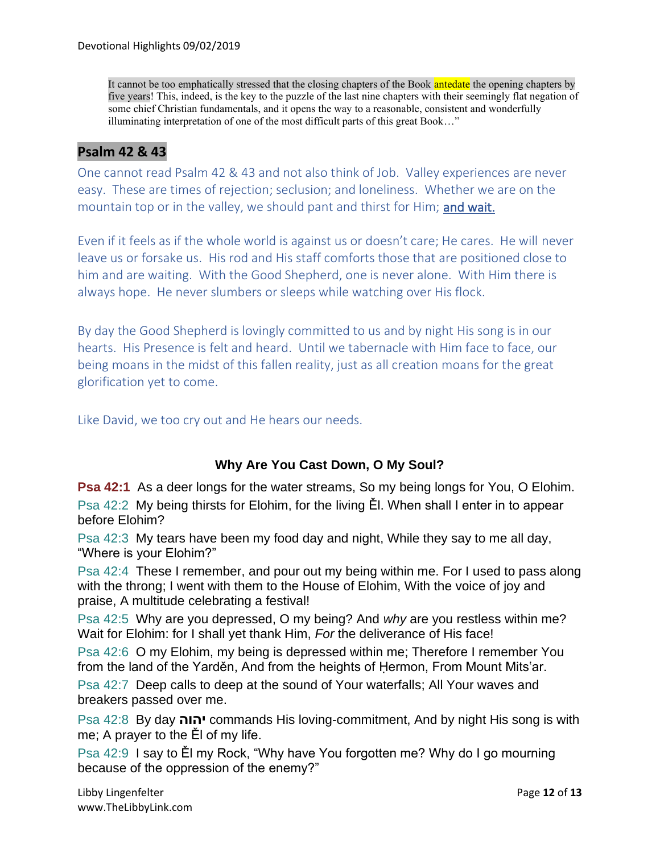It cannot be too emphatically stressed that the closing chapters of the Book antedate the opening chapters by five years! This, indeed, is the key to the puzzle of the last nine chapters with their seemingly flat negation of some chief Christian fundamentals, and it opens the way to a reasonable, consistent and wonderfully illuminating interpretation of one of the most difficult parts of this great Book…"

# **Psalm 42 & 43**

One cannot read Psalm 42 & 43 and not also think of Job. Valley experiences are never easy. These are times of rejection; seclusion; and loneliness. Whether we are on the mountain top or in the valley, we should pant and thirst for Him; and wait.

Even if it feels as if the whole world is against us or doesn't care; He cares. He will never leave us or forsake us. His rod and His staff comforts those that are positioned close to him and are waiting. With the Good Shepherd, one is never alone. With Him there is always hope. He never slumbers or sleeps while watching over His flock.

By day the Good Shepherd is lovingly committed to us and by night His song is in our hearts. His Presence is felt and heard. Until we tabernacle with Him face to face, our being moans in the midst of this fallen reality, just as all creation moans for the great glorification yet to come.

Like David, we too cry out and He hears our needs.

# **Why Are You Cast Down, O My Soul?**

**Psa 42:1** As a deer longs for the water streams, So my being longs for You, O Elohim. Psa 42:2 My being thirsts for Elohim, for the living Ěl. When shall I enter in to appear before Elohim?

Psa 42:3 My tears have been my food day and night, While they say to me all day, "Where is your Elohim?"

Psa 42:4 These I remember, and pour out my being within me. For I used to pass along with the throng; I went with them to the House of Elohim, With the voice of joy and praise, A multitude celebrating a festival!

Psa 42:5 Why are you depressed, O my being? And *why* are you restless within me? Wait for Elohim: for I shall yet thank Him, *For* the deliverance of His face!

Psa 42:6 O my Elohim, my being is depressed within me; Therefore I remember You from the land of the Yarděn, And from the heights of Ḥermon, From Mount Mits'ar.

Psa 42:7 Deep calls to deep at the sound of Your waterfalls; All Your waves and breakers passed over me.

Psa 42:8 By day **יהוה** commands His loving-commitment, And by night His song is with me; A prayer to the Ěl of my life.

Psa 42:9 I say to Ěl my Rock, "Why have You forgotten me? Why do I go mourning because of the oppression of the enemy?"